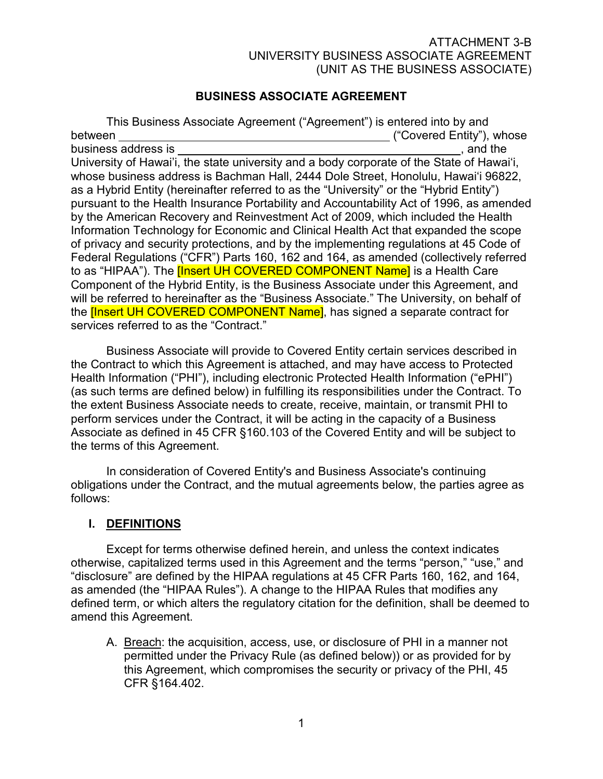## BUSINESS ASSOCIATE AGREEMENT

 This Business Associate Agreement ("Agreement") is entered into by and between ("Covered Entity"), whose business address is , and the , and the , and the , and the , and the , and the , and the , and the , and the , and the , and the , and the , and the , and the , and the , and the , and the , and the , and the , and the , University of Hawai'i, the state university and a body corporate of the State of Hawai'i, whose business address is Bachman Hall, 2444 Dole Street, Honolulu, Hawai'i 96822, as a Hybrid Entity (hereinafter referred to as the "University" or the "Hybrid Entity") pursuant to the Health Insurance Portability and Accountability Act of 1996, as amended by the American Recovery and Reinvestment Act of 2009, which included the Health Information Technology for Economic and Clinical Health Act that expanded the scope of privacy and security protections, and by the implementing regulations at 45 Code of Federal Regulations ("CFR") Parts 160, 162 and 164, as amended (collectively referred to as "HIPAA"). The *[Insert UH COVERED COMPONENT Name]* is a Health Care Component of the Hybrid Entity, is the Business Associate under this Agreement, and will be referred to hereinafter as the "Business Associate." The University, on behalf of the **[Insert UH COVERED COMPONENT Name]**, has signed a separate contract for services referred to as the "Contract."

 Business Associate will provide to Covered Entity certain services described in the Contract to which this Agreement is attached, and may have access to Protected Health Information ("PHI"), including electronic Protected Health Information ("ePHI") (as such terms are defined below) in fulfilling its responsibilities under the Contract. To the extent Business Associate needs to create, receive, maintain, or transmit PHI to perform services under the Contract, it will be acting in the capacity of a Business Associate as defined in 45 CFR §160.103 of the Covered Entity and will be subject to the terms of this Agreement.

 In consideration of Covered Entity's and Business Associate's continuing obligations under the Contract, and the mutual agreements below, the parties agree as follows:

#### I. <u>Definitions</u>

 Except for terms otherwise defined herein, and unless the context indicates otherwise, capitalized terms used in this Agreement and the terms "person," "use," and "disclosure" are defined by the HIPAA regulations at 45 CFR Parts 160, 162, and 164, as amended (the "HIPAA Rules"). A change to the HIPAA Rules that modifies any defined term, or which alters the regulatory citation for the definition, shall be deemed to amend this Agreement.

A. Breach: the acquisition, access, use, or disclosure of PHI in a manner not permitted under the Privacy Rule (as defined below)) or as provided for by this Agreement, which compromises the security or privacy of the PHI, 45 CFR §164.402.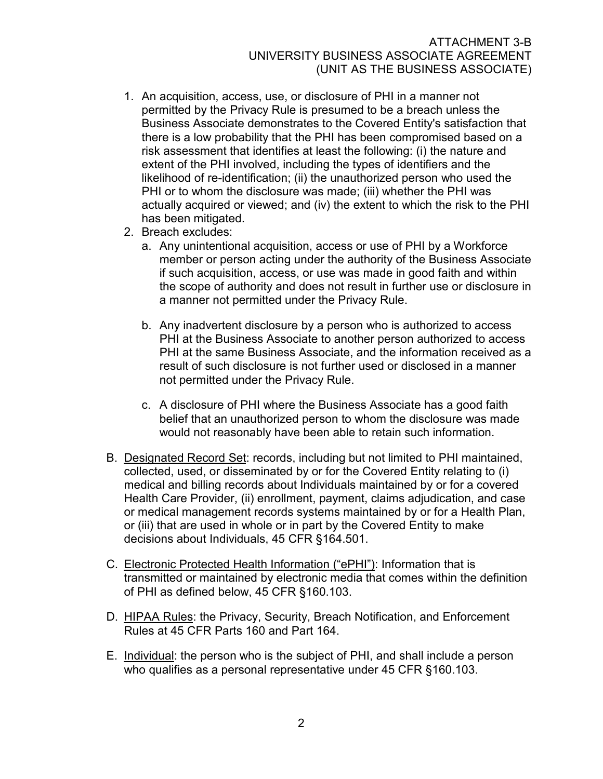- 1. An acquisition, access, use, or disclosure of PHI in a manner not permitted by the Privacy Rule is presumed to be a breach unless the Business Associate demonstrates to the Covered Entity's satisfaction that there is a low probability that the PHI has been compromised based on a risk assessment that identifies at least the following: (i) the nature and extent of the PHI involved, including the types of identifiers and the likelihood of re-identification; (ii) the unauthorized person who used the PHI or to whom the disclosure was made; (iii) whether the PHI was actually acquired or viewed; and (iv) the extent to which the risk to the PHI has been mitigated.
- 2. Breach excludes:
	- a. Any unintentional acquisition, access or use of PHI by a Workforce member or person acting under the authority of the Business Associate if such acquisition, access, or use was made in good faith and within the scope of authority and does not result in further use or disclosure in a manner not permitted under the Privacy Rule.
	- b. Any inadvertent disclosure by a person who is authorized to access PHI at the Business Associate to another person authorized to access PHI at the same Business Associate, and the information received as a result of such disclosure is not further used or disclosed in a manner not permitted under the Privacy Rule.
	- c. A disclosure of PHI where the Business Associate has a good faith belief that an unauthorized person to whom the disclosure was made would not reasonably have been able to retain such information.
- B. Designated Record Set: records, including but not limited to PHI maintained, collected, used, or disseminated by or for the Covered Entity relating to (i) medical and billing records about Individuals maintained by or for a covered Health Care Provider, (ii) enrollment, payment, claims adjudication, and case or medical management records systems maintained by or for a Health Plan, or (iii) that are used in whole or in part by the Covered Entity to make decisions about Individuals, 45 CFR §164.501.
- C. Electronic Protected Health Information ("ePHI"): Information that is transmitted or maintained by electronic media that comes within the definition of PHI as defined below, 45 CFR §160.103.
- D. HIPAA Rules: the Privacy, Security, Breach Notification, and Enforcement Rules at 45 CFR Parts 160 and Part 164.
- E. Individual: the person who is the subject of PHI, and shall include a person who qualifies as a personal representative under 45 CFR §160.103.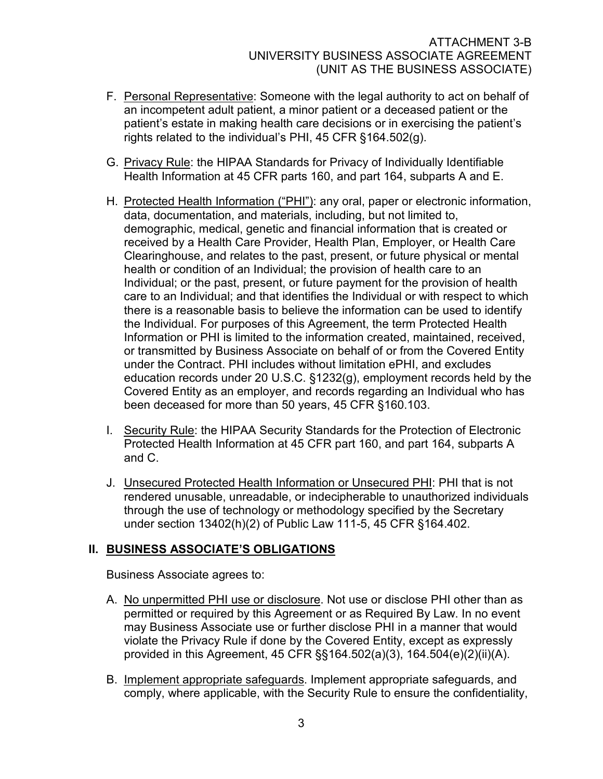- F. Personal Representative: Someone with the legal authority to act on behalf of an incompetent adult patient, a minor patient or a deceased patient or the patient's estate in making health care decisions or in exercising the patient's rights related to the individual's PHI, 45 CFR §164.502(g).
- G. Privacy Rule: the HIPAA Standards for Privacy of Individually Identifiable Health Information at 45 CFR parts 160, and part 164, subparts A and E.
- H. Protected Health Information ("PHI"): any oral, paper or electronic information, data, documentation, and materials, including, but not limited to, demographic, medical, genetic and financial information that is created or received by a Health Care Provider, Health Plan, Employer, or Health Care Clearinghouse, and relates to the past, present, or future physical or mental health or condition of an Individual; the provision of health care to an Individual; or the past, present, or future payment for the provision of health care to an Individual; and that identifies the Individual or with respect to which there is a reasonable basis to believe the information can be used to identify the Individual. For purposes of this Agreement, the term Protected Health Information or PHI is limited to the information created, maintained, received, or transmitted by Business Associate on behalf of or from the Covered Entity under the Contract. PHI includes without limitation ePHI, and excludes education records under 20 U.S.C. §1232(g), employment records held by the Covered Entity as an employer, and records regarding an Individual who has been deceased for more than 50 years, 45 CFR §160.103.
- I. Security Rule: the HIPAA Security Standards for the Protection of Electronic Protected Health Information at 45 CFR part 160, and part 164, subparts A and C.
- J. Unsecured Protected Health Information or Unsecured PHI: PHI that is not rendered unusable, unreadable, or indecipherable to unauthorized individuals through the use of technology or methodology specified by the Secretary under section 13402(h)(2) of Public Law 111-5, 45 CFR §164.402.

# II. BUSINESS ASSOCIATE'S OBLIGATIONS

Business Associate agrees to:

- A. No unpermitted PHI use or disclosure. Not use or disclose PHI other than as permitted or required by this Agreement or as Required By Law. In no event may Business Associate use or further disclose PHI in a manner that would violate the Privacy Rule if done by the Covered Entity, except as expressly provided in this Agreement, 45 CFR §§164.502(a)(3), 164.504(e)(2)(ii)(A).
- B. Implement appropriate safeguards. Implement appropriate safeguards, and comply, where applicable, with the Security Rule to ensure the confidentiality,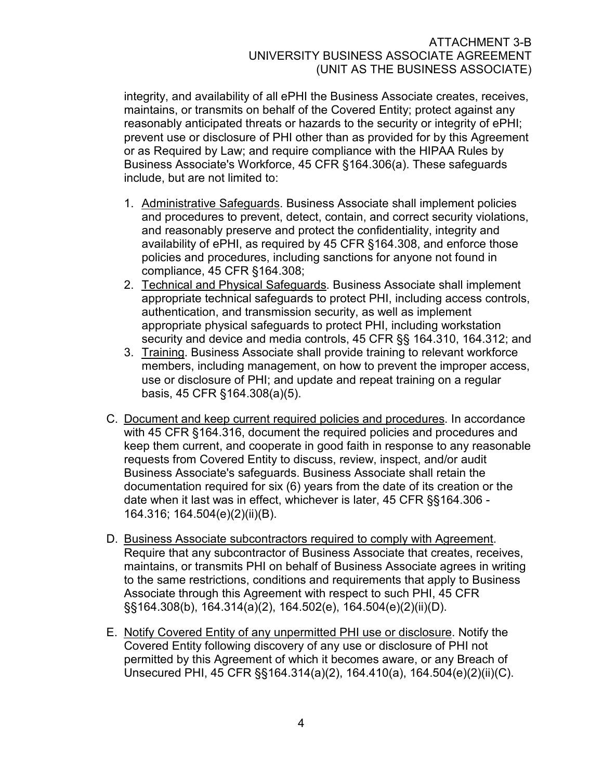integrity, and availability of all ePHI the Business Associate creates, receives, maintains, or transmits on behalf of the Covered Entity; protect against any reasonably anticipated threats or hazards to the security or integrity of ePHI; prevent use or disclosure of PHI other than as provided for by this Agreement or as Required by Law; and require compliance with the HIPAA Rules by Business Associate's Workforce, 45 CFR §164.306(a). These safeguards include, but are not limited to:

- 1. Administrative Safeguards. Business Associate shall implement policies and procedures to prevent, detect, contain, and correct security violations, and reasonably preserve and protect the confidentiality, integrity and availability of ePHI, as required by 45 CFR §164.308, and enforce those policies and procedures, including sanctions for anyone not found in compliance, 45 CFR §164.308;
- 2. Technical and Physical Safeguards. Business Associate shall implement appropriate technical safeguards to protect PHI, including access controls, authentication, and transmission security, as well as implement appropriate physical safeguards to protect PHI, including workstation security and device and media controls, 45 CFR §§ 164.310, 164.312; and
- 3. Training. Business Associate shall provide training to relevant workforce members, including management, on how to prevent the improper access, use or disclosure of PHI; and update and repeat training on a regular basis, 45 CFR §164.308(a)(5).
- C. Document and keep current required policies and procedures. In accordance with 45 CFR §164.316, document the required policies and procedures and keep them current, and cooperate in good faith in response to any reasonable requests from Covered Entity to discuss, review, inspect, and/or audit Business Associate's safeguards. Business Associate shall retain the documentation required for six (6) years from the date of its creation or the date when it last was in effect, whichever is later, 45 CFR §§164.306 - 164.316; 164.504(e)(2)(ii)(B).
- D. Business Associate subcontractors required to comply with Agreement. Require that any subcontractor of Business Associate that creates, receives, maintains, or transmits PHI on behalf of Business Associate agrees in writing to the same restrictions, conditions and requirements that apply to Business Associate through this Agreement with respect to such PHI, 45 CFR §§164.308(b), 164.314(a)(2), 164.502(e), 164.504(e)(2)(ii)(D).
- E. Notify Covered Entity of any unpermitted PHI use or disclosure. Notify the Covered Entity following discovery of any use or disclosure of PHI not permitted by this Agreement of which it becomes aware, or any Breach of Unsecured PHI, 45 CFR §§164.314(a)(2), 164.410(a), 164.504(e)(2)(ii)(C).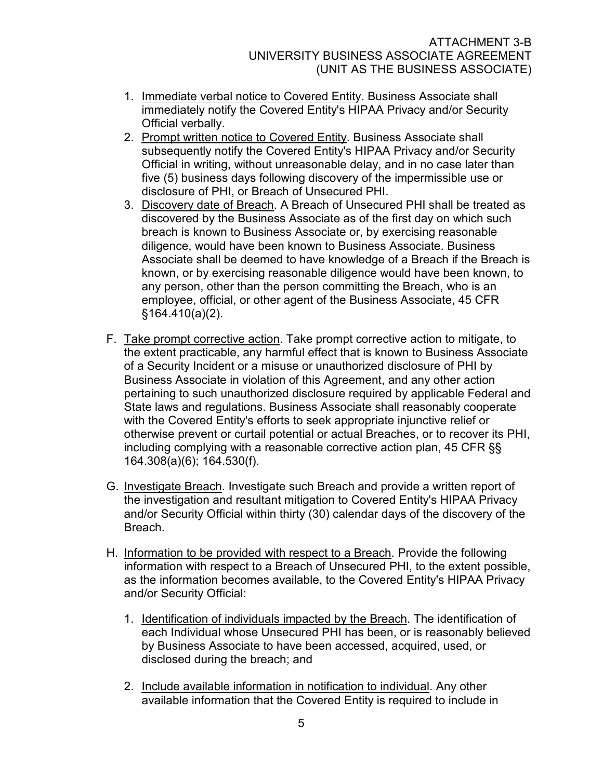- 1. Immediate verbal notice to Covered Entity. Business Associate shall immediately notify the Covered Entity's HIPAA Privacy and/or Security Official verbally.
- 2. Prompt written notice to Covered Entity. Business Associate shall subsequently notify the Covered Entity's HIPAA Privacy and/or Security Official in writing, without unreasonable delay, and in no case later than five (5) business days following discovery of the impermissible use or disclosure of PHI, or Breach of Unsecured PHI.
- 3. Discovery date of Breach. A Breach of Unsecured PHI shall be treated as discovered by the Business Associate as of the first day on which such breach is known to Business Associate or, by exercising reasonable diligence, would have been known to Business Associate. Business Associate shall be deemed to have knowledge of a Breach if the Breach is known, or by exercising reasonable diligence would have been known, to any person, other than the person committing the Breach, who is an employee, official, or other agent of the Business Associate, 45 CFR §164.410(a)(2).
- F. Take prompt corrective action. Take prompt corrective action to mitigate, to the extent practicable, any harmful effect that is known to Business Associate of a Security Incident or a misuse or unauthorized disclosure of PHI by Business Associate in violation of this Agreement, and any other action pertaining to such unauthorized disclosure required by applicable Federal and State laws and regulations. Business Associate shall reasonably cooperate with the Covered Entity's efforts to seek appropriate injunctive relief or otherwise prevent or curtail potential or actual Breaches, or to recover its PHI, including complying with a reasonable corrective action plan, 45 CFR §§ 164.308(a)(6); 164.530(f).
- G. Investigate Breach. Investigate such Breach and provide a written report of the investigation and resultant mitigation to Covered Entity's HIPAA Privacy and/or Security Official within thirty (30) calendar days of the discovery of the **Breach**
- H. Information to be provided with respect to a Breach. Provide the following information with respect to a Breach of Unsecured PHI, to the extent possible, as the information becomes available, to the Covered Entity's HIPAA Privacy and/or Security Official:
	- 1. Identification of individuals impacted by the Breach. The identification of each Individual whose Unsecured PHI has been, or is reasonably believed by Business Associate to have been accessed, acquired, used, or disclosed during the breach; and
	- 2. Include available information in notification to individual. Any other available information that the Covered Entity is required to include in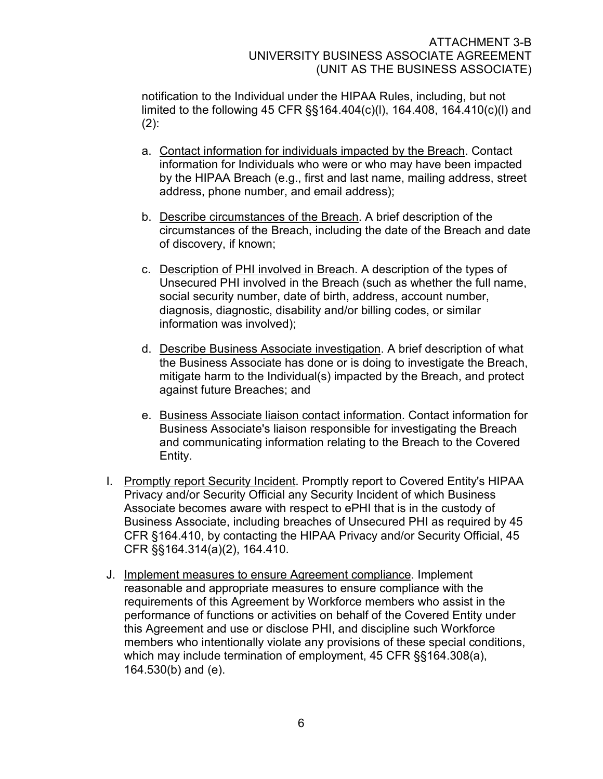notification to the Individual under the HIPAA Rules, including, but not limited to the following 45 CFR §§164.404(c)(l), 164.408, 164.410(c)(l) and  $(2)$ :

- a. Contact information for individuals impacted by the Breach. Contact information for Individuals who were or who may have been impacted by the HIPAA Breach (e.g., first and last name, mailing address, street address, phone number, and email address);
- b. Describe circumstances of the Breach. A brief description of the circumstances of the Breach, including the date of the Breach and date of discovery, if known;
- c. Description of PHI involved in Breach. A description of the types of Unsecured PHI involved in the Breach (such as whether the full name, social security number, date of birth, address, account number, diagnosis, diagnostic, disability and/or billing codes, or similar information was involved);
- d. Describe Business Associate investigation. A brief description of what the Business Associate has done or is doing to investigate the Breach, mitigate harm to the Individual(s) impacted by the Breach, and protect against future Breaches; and
- e. Business Associate liaison contact information. Contact information for Business Associate's liaison responsible for investigating the Breach and communicating information relating to the Breach to the Covered Entity.
- I. Promptly report Security Incident. Promptly report to Covered Entity's HIPAA Privacy and/or Security Official any Security Incident of which Business Associate becomes aware with respect to ePHI that is in the custody of Business Associate, including breaches of Unsecured PHI as required by 45 CFR §164.410, by contacting the HIPAA Privacy and/or Security Official, 45 CFR §§164.314(a)(2), 164.410.
- J. Implement measures to ensure Agreement compliance. Implement reasonable and appropriate measures to ensure compliance with the requirements of this Agreement by Workforce members who assist in the performance of functions or activities on behalf of the Covered Entity under this Agreement and use or disclose PHI, and discipline such Workforce members who intentionally violate any provisions of these special conditions, which may include termination of employment, 45 CFR §§164.308(a), 164.530(b) and (e).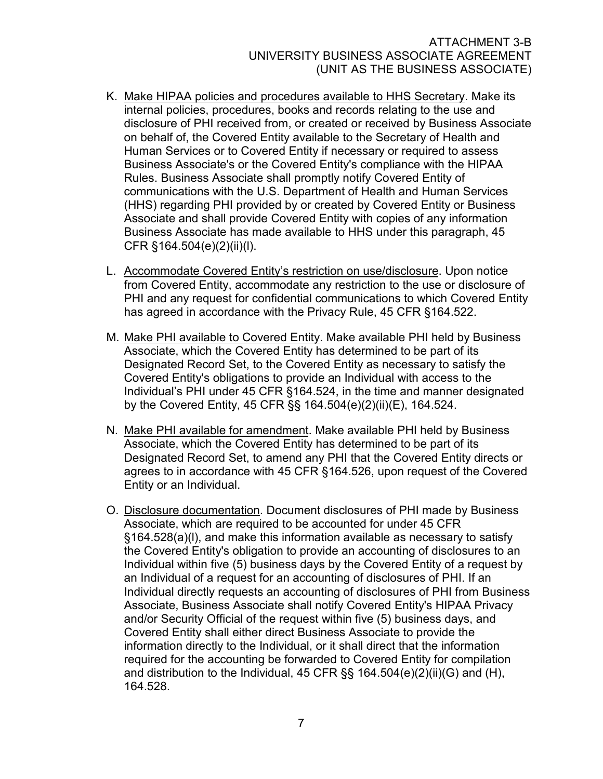- K. Make HIPAA policies and procedures available to HHS Secretary. Make its internal policies, procedures, books and records relating to the use and disclosure of PHI received from, or created or received by Business Associate on behalf of, the Covered Entity available to the Secretary of Health and Human Services or to Covered Entity if necessary or required to assess Business Associate's or the Covered Entity's compliance with the HIPAA Rules. Business Associate shall promptly notify Covered Entity of communications with the U.S. Department of Health and Human Services (HHS) regarding PHI provided by or created by Covered Entity or Business Associate and shall provide Covered Entity with copies of any information Business Associate has made available to HHS under this paragraph, 45 CFR §164.504(e)(2)(ii)(l).
- L. Accommodate Covered Entity's restriction on use/disclosure. Upon notice from Covered Entity, accommodate any restriction to the use or disclosure of PHI and any request for confidential communications to which Covered Entity has agreed in accordance with the Privacy Rule, 45 CFR §164.522.
- M. Make PHI available to Covered Entity. Make available PHI held by Business Associate, which the Covered Entity has determined to be part of its Designated Record Set, to the Covered Entity as necessary to satisfy the Covered Entity's obligations to provide an Individual with access to the Individual's PHI under 45 CFR §164.524, in the time and manner designated by the Covered Entity, 45 CFR §§ 164.504(e)(2)(ii)(E), 164.524.
- N. Make PHI available for amendment. Make available PHI held by Business Associate, which the Covered Entity has determined to be part of its Designated Record Set, to amend any PHI that the Covered Entity directs or agrees to in accordance with 45 CFR §164.526, upon request of the Covered Entity or an Individual.
- O. Disclosure documentation. Document disclosures of PHI made by Business Associate, which are required to be accounted for under 45 CFR §164.528(a)(l), and make this information available as necessary to satisfy the Covered Entity's obligation to provide an accounting of disclosures to an Individual within five (5) business days by the Covered Entity of a request by an Individual of a request for an accounting of disclosures of PHI. If an Individual directly requests an accounting of disclosures of PHI from Business Associate, Business Associate shall notify Covered Entity's HIPAA Privacy and/or Security Official of the request within five (5) business days, and Covered Entity shall either direct Business Associate to provide the information directly to the Individual, or it shall direct that the information required for the accounting be forwarded to Covered Entity for compilation and distribution to the Individual, 45 CFR §§ 164.504(e)(2)(ii)(G) and (H), 164.528.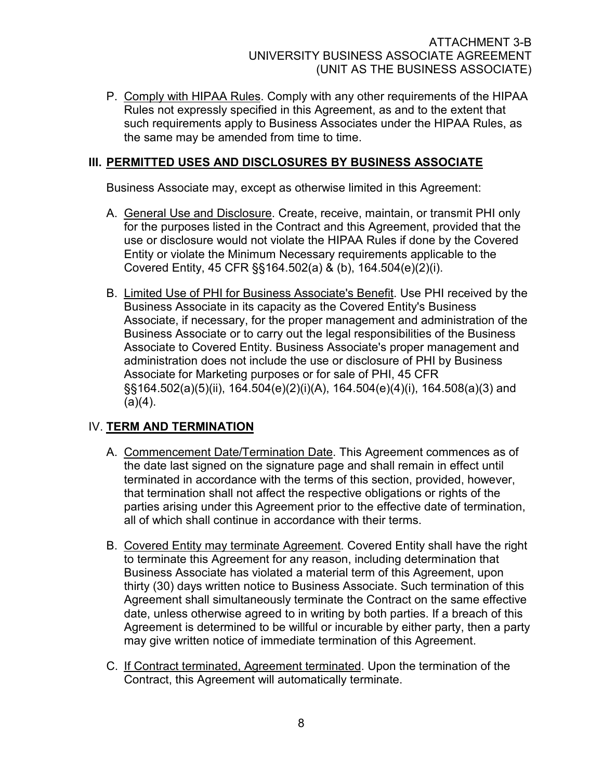P. Comply with HIPAA Rules. Comply with any other requirements of the HIPAA Rules not expressly specified in this Agreement, as and to the extent that such requirements apply to Business Associates under the HIPAA Rules, as the same may be amended from time to time.

## III. PERMITTED USES AND DISCLOSURES BY BUSINESS ASSOCIATE

Business Associate may, except as otherwise limited in this Agreement:

- A. General Use and Disclosure. Create, receive, maintain, or transmit PHI only for the purposes listed in the Contract and this Agreement, provided that the use or disclosure would not violate the HIPAA Rules if done by the Covered Entity or violate the Minimum Necessary requirements applicable to the Covered Entity, 45 CFR §§164.502(a) & (b), 164.504(e)(2)(i).
- B. Limited Use of PHI for Business Associate's Benefit. Use PHI received by the Business Associate in its capacity as the Covered Entity's Business Associate, if necessary, for the proper management and administration of the Business Associate or to carry out the legal responsibilities of the Business Associate to Covered Entity. Business Associate's proper management and administration does not include the use or disclosure of PHI by Business Associate for Marketing purposes or for sale of PHI, 45 CFR §§164.502(a)(5)(ii), 164.504(e)(2)(i)(A), 164.504(e)(4)(i), 164.508(a)(3) and  $(a)(4)$ .

# IV. TERM AND TERMINATION

- A. Commencement Date/Termination Date. This Agreement commences as of the date last signed on the signature page and shall remain in effect until terminated in accordance with the terms of this section, provided, however, that termination shall not affect the respective obligations or rights of the parties arising under this Agreement prior to the effective date of termination, all of which shall continue in accordance with their terms.
- B. Covered Entity may terminate Agreement. Covered Entity shall have the right to terminate this Agreement for any reason, including determination that Business Associate has violated a material term of this Agreement, upon thirty (30) days written notice to Business Associate. Such termination of this Agreement shall simultaneously terminate the Contract on the same effective date, unless otherwise agreed to in writing by both parties. If a breach of this Agreement is determined to be willful or incurable by either party, then a party may give written notice of immediate termination of this Agreement.
- C. If Contract terminated, Agreement terminated. Upon the termination of the Contract, this Agreement will automatically terminate.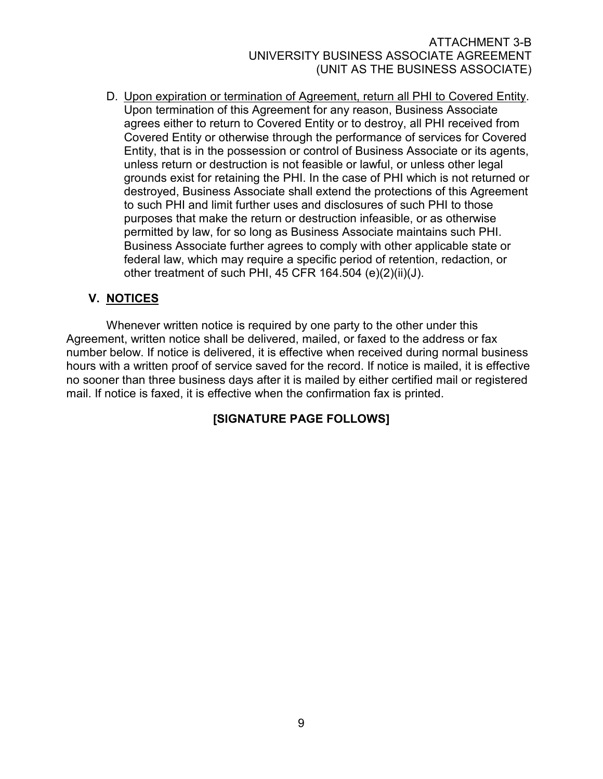D. Upon expiration or termination of Agreement, return all PHI to Covered Entity. Upon termination of this Agreement for any reason, Business Associate agrees either to return to Covered Entity or to destroy, all PHI received from Covered Entity or otherwise through the performance of services for Covered Entity, that is in the possession or control of Business Associate or its agents, unless return or destruction is not feasible or lawful, or unless other legal grounds exist for retaining the PHI. In the case of PHI which is not returned or destroyed, Business Associate shall extend the protections of this Agreement to such PHI and limit further uses and disclosures of such PHI to those purposes that make the return or destruction infeasible, or as otherwise permitted by law, for so long as Business Associate maintains such PHI. Business Associate further agrees to comply with other applicable state or federal law, which may require a specific period of retention, redaction, or other treatment of such PHI, 45 CFR 164.504 (e)(2)(ii)(J).

# V. NOTICES

Whenever written notice is required by one party to the other under this Agreement, written notice shall be delivered, mailed, or faxed to the address or fax number below. If notice is delivered, it is effective when received during normal business hours with a written proof of service saved for the record. If notice is mailed, it is effective no sooner than three business days after it is mailed by either certified mail or registered mail. If notice is faxed, it is effective when the confirmation fax is printed.

# [SIGNATURE PAGE FOLLOWS]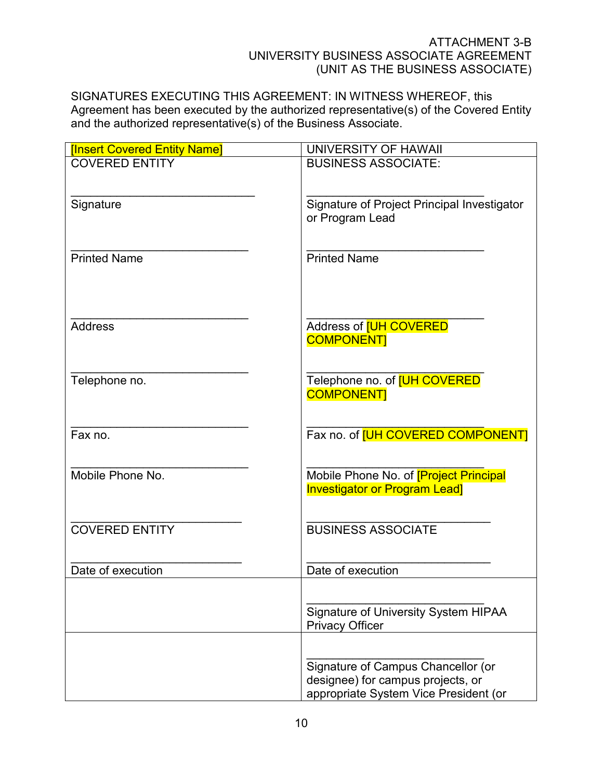SIGNATURES EXECUTING THIS AGREEMENT: IN WITNESS WHEREOF, this Agreement has been executed by the authorized representative(s) of the Covered Entity and the authorized representative(s) of the Business Associate.

| <b>[Insert Covered Entity Name]</b> | UNIVERSITY OF HAWAII                                                                                             |
|-------------------------------------|------------------------------------------------------------------------------------------------------------------|
| <b>COVERED ENTITY</b>               | <b>BUSINESS ASSOCIATE:</b>                                                                                       |
| Signature                           | Signature of Project Principal Investigator<br>or Program Lead                                                   |
| <b>Printed Name</b>                 | <b>Printed Name</b>                                                                                              |
| <b>Address</b>                      | Address of <b>[UH COVERED</b><br><b>COMPONENT</b>                                                                |
| Telephone no.                       | Telephone no. of <b>[UH COVERED</b><br><b>COMPONENT</b>                                                          |
| Fax no.                             | Fax no. of [UH COVERED COMPONENT]                                                                                |
| Mobile Phone No.                    | Mobile Phone No. of <b>[Project Principal</b><br><b>Investigator or Program Lead]</b>                            |
| <b>COVERED ENTITY</b>               | <b>BUSINESS ASSOCIATE</b>                                                                                        |
| Date of execution                   | Date of execution                                                                                                |
|                                     | Signature of University System HIPAA<br><b>Privacy Officer</b>                                                   |
|                                     | Signature of Campus Chancellor (or<br>designee) for campus projects, or<br>appropriate System Vice President (or |